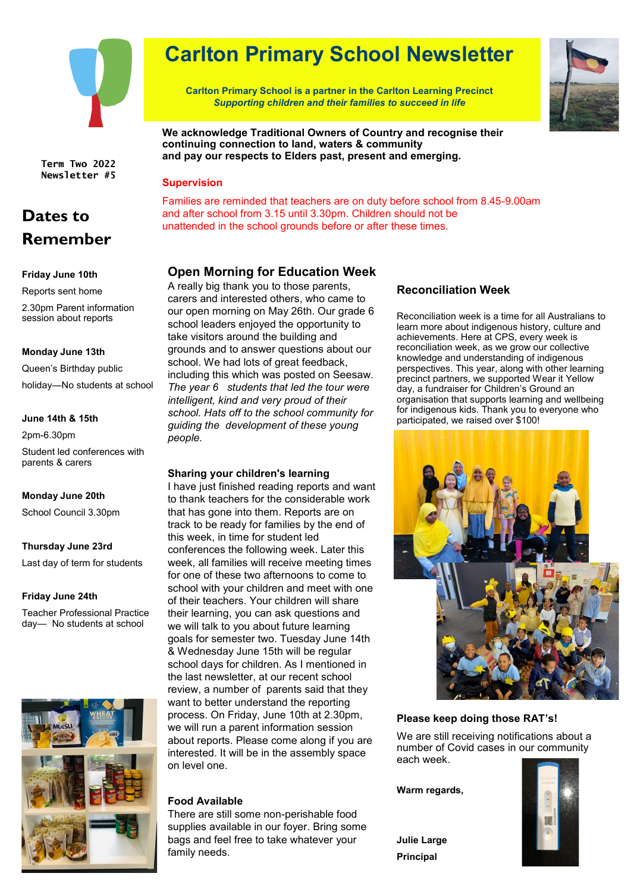

**Term Two 2022 Newsletter #5**

## **Dates to Remember**

### **Friday June 10th**

Reports sent home

2.30pm Parent information session about reports

### **Monday June 13th**

Queen's Birthday public holiday—No students at school

### **June 14th & 15th**

2pm-6.30pm Student led conferences with parents & carers

### **Monday June 20th**

School Council 3.30pm

### **Thursday June 23rd**

Last day of term for students

### **Friday June 24th**

Teacher Professional Practice day— No students at school



# **Carlton Primary School Newsletter**

**Carlton Primary School is a partner in the Carlton Learning Precinct** *Supporting children and their families to succeed in life*



**We acknowledge Traditional Owners of Country and recognise their continuing connection to land, waters & community and pay our respects to Elders past, present and emerging.**

### **Supervision**

Families are reminded that teachers are on duty before school from 8.45-9.00am and after school from 3.15 until 3.30pm. Children should not be unattended in the school grounds before or after these times.

### **Open Morning for Education Week**

A really big thank you to those parents, carers and interested others, who came to our open morning on May 26th. Our grade 6 school leaders enjoyed the opportunity to take visitors around the building and grounds and to answer questions about our school. We had lots of great feedback, including this which was posted on Seesaw. *The year 6 students that led the tour were intelligent, kind and very proud of their school. Hats off to the school community for guiding the development of these young people.*

### **Sharing your children's learning**

I have just finished reading reports and want to thank teachers for the considerable work that has gone into them. Reports are on track to be ready for families by the end of this week, in time for student led conferences the following week. Later this week, all families will receive meeting times for one of these two afternoons to come to school with your children and meet with one of their teachers. Your children will share their learning, you can ask questions and we will talk to you about future learning goals for semester two. Tuesday June 14th & Wednesday June 15th will be regular school days for children. As I mentioned in the last newsletter, at our recent school review, a number of parents said that they want to better understand the reporting process. On Friday, June 10th at 2.30pm, we will run a parent information session about reports. Please come along if you are interested. It will be in the assembly space on level one.

### **Food Available**

There are still some non-perishable food supplies available in our foyer. Bring some bags and feel free to take whatever your family needs.

### **Reconciliation Week**

Reconciliation week is a time for all Australians to learn more about indigenous history, culture and achievements. Here at CPS, every week is reconciliation week, as we grow our collective knowledge and understanding of indigenous perspectives. This year, along with other learning precinct partners, we supported Wear it Yellow day, a fundraiser for Children's Ground an organisation that supports learning and wellbeing for indigenous kids. Thank you to everyone who participated, we raised over \$100!



### **Please keep doing those RAT's!**

We are still receiving notifications about a number of Covid cases in our community each week.

**Warm regards,**

**Julie Large Principal**